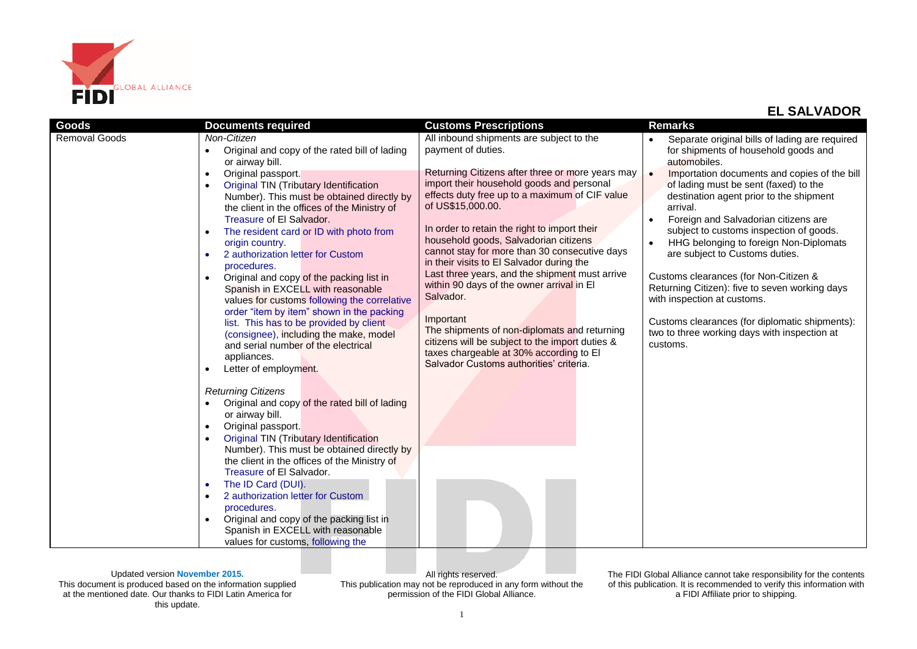

| Goods                | <b>Documents required</b>                                                                  | <b>Customs Prescriptions</b>                                                                | <b>Remarks</b>                                            |
|----------------------|--------------------------------------------------------------------------------------------|---------------------------------------------------------------------------------------------|-----------------------------------------------------------|
| <b>Removal Goods</b> | Non-Citizen                                                                                | All inbound shipments are subject to the                                                    | Separate original bills of lading are required            |
|                      | Original and copy of the rated bill of lading                                              | payment of duties.                                                                          | for shipments of household goods and                      |
|                      | or airway bill.                                                                            |                                                                                             | automobiles.                                              |
|                      | Original passport.<br>$\bullet$                                                            | Returning Citizens after three or more years may                                            | Importation documents and copies of the bill<br>$\bullet$ |
|                      | Original TIN (Tributary Identification                                                     | import their household goods and personal<br>effects duty free up to a maximum of CIF value | of lading must be sent (faxed) to the                     |
|                      | Number). This must be obtained directly by<br>the client in the offices of the Ministry of | of US\$15,000.00.                                                                           | destination agent prior to the shipment<br>arrival.       |
|                      | Treasure of El Salvador.                                                                   |                                                                                             | Foreign and Salvadorian citizens are                      |
|                      | The resident card or ID with photo from                                                    | In order to retain the right to import their                                                | subject to customs inspection of goods.                   |
|                      | origin country.                                                                            | household goods, Salvadorian citizens                                                       | HHG belonging to foreign Non-Diplomats                    |
|                      | 2 authorization letter for Custom                                                          | cannot stay for more than 30 consecutive days                                               | are subject to Customs duties.                            |
|                      | procedures.                                                                                | in their visits to El Salvador during the                                                   |                                                           |
|                      | Original and copy of the packing list in                                                   | Last three years, and the shipment must arrive                                              | Customs clearances (for Non-Citizen &                     |
|                      | Spanish in EXCELL with reasonable                                                          | within 90 days of the owner arrival in El<br>Salvador.                                      | Returning Citizen): five to seven working days            |
|                      | values for customs following the correlative                                               |                                                                                             | with inspection at customs.                               |
|                      | order "item by item" shown in the packing<br>list. This has to be provided by client       | Important                                                                                   | Customs clearances (for diplomatic shipments):            |
|                      | (consignee), including the make, model                                                     | The shipments of non-diplomats and returning                                                | two to three working days with inspection at              |
|                      | and serial number of the electrical                                                        | citizens will be subject to the import duties &                                             | customs.                                                  |
|                      | appliances.                                                                                | taxes chargeable at 30% according to El                                                     |                                                           |
|                      | Letter of employment.                                                                      | Salvador Customs authorities' criteria.                                                     |                                                           |
|                      |                                                                                            |                                                                                             |                                                           |
|                      | <b>Returning Citizens</b>                                                                  |                                                                                             |                                                           |
|                      | Original and copy of the rated bill of lading                                              |                                                                                             |                                                           |
|                      | or airway bill.                                                                            |                                                                                             |                                                           |
|                      | Original passport.<br>$\bullet$<br><b>Original TIN (Tributary Identification</b>           |                                                                                             |                                                           |
|                      | Number). This must be obtained directly by                                                 |                                                                                             |                                                           |
|                      | the client in the offices of the Ministry of                                               |                                                                                             |                                                           |
|                      | Treasure of El Salvador.                                                                   |                                                                                             |                                                           |
|                      | The ID Card (DUI).<br>٠                                                                    |                                                                                             |                                                           |
|                      | 2 authorization letter for Custom<br>$\bullet$                                             |                                                                                             |                                                           |
|                      | procedures.                                                                                |                                                                                             |                                                           |
|                      | Original and copy of the packing list in                                                   |                                                                                             |                                                           |
|                      | Spanish in EXCELL with reasonable                                                          |                                                                                             |                                                           |
|                      | values for customs, following the                                                          |                                                                                             |                                                           |

Updated version **November 2015.** This document is produced based on the information supplied at the mentioned date. Our thanks to FIDI Latin America for this update.

All rights reserved. This publication may not be reproduced in any form without the permission of the FIDI Global Alliance.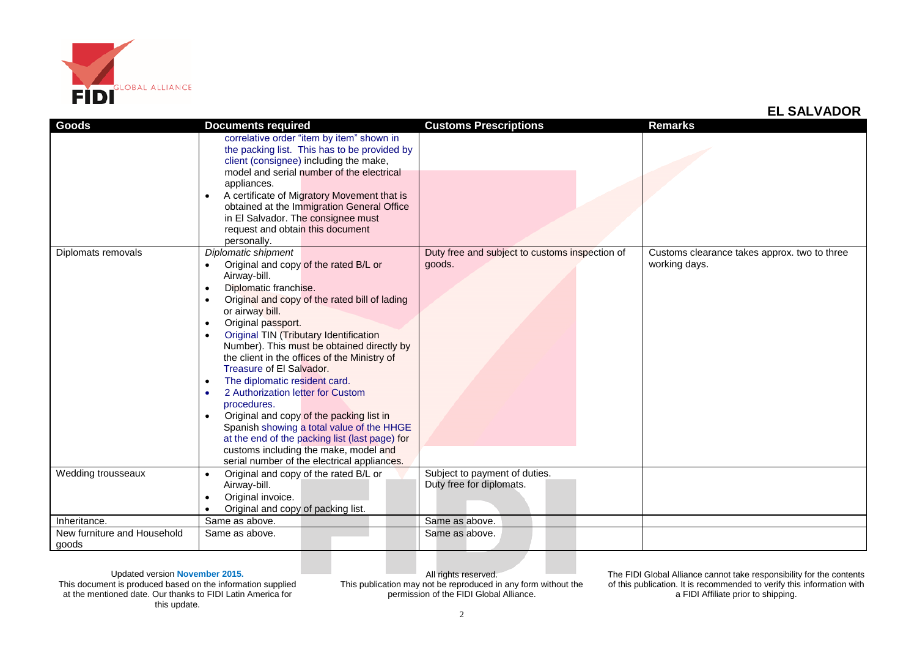

| <b>Goods</b>                | <b>Documents required</b>                                  | <b>Customs Prescriptions</b>                   | <b>Remarks</b>                               |
|-----------------------------|------------------------------------------------------------|------------------------------------------------|----------------------------------------------|
|                             | correlative order "item by item" shown in                  |                                                |                                              |
|                             | the packing list. This has to be provided by               |                                                |                                              |
|                             | client (consignee) including the make,                     |                                                |                                              |
|                             | model and serial number of the electrical                  |                                                |                                              |
|                             | appliances.                                                |                                                |                                              |
|                             | A certificate of Migratory Movement that is<br>$\bullet$   |                                                |                                              |
|                             | obtained at the Immigration General Office                 |                                                |                                              |
|                             | in El Salvador. The consignee must                         |                                                |                                              |
|                             | request and obtain this document                           |                                                |                                              |
|                             | personally.                                                |                                                |                                              |
| Diplomats removals          | Diplomatic shipment                                        | Duty free and subject to customs inspection of | Customs clearance takes approx. two to three |
|                             | Original and copy of the rated B/L or<br>$\bullet$         | goods.                                         | working days.                                |
|                             | Airway-bill.                                               |                                                |                                              |
|                             | Diplomatic franchise.<br>$\bullet$                         |                                                |                                              |
|                             | Original and copy of the rated bill of lading<br>$\bullet$ |                                                |                                              |
|                             | or airway bill.                                            |                                                |                                              |
|                             | Original passport.<br>$\bullet$                            |                                                |                                              |
|                             | Original TIN (Tributary Identification<br>$\bullet$        |                                                |                                              |
|                             | Number). This must be obtained directly by                 |                                                |                                              |
|                             | the client in the offices of the Ministry of               |                                                |                                              |
|                             | Treasure of El Salvador.                                   |                                                |                                              |
|                             | The diplomatic resident card.<br>$\bullet$                 |                                                |                                              |
|                             | 2 Authorization letter for Custom<br>$\bullet$             |                                                |                                              |
|                             | procedures.                                                |                                                |                                              |
|                             | Original and copy of the packing list in<br>$\bullet$      |                                                |                                              |
|                             | Spanish showing a total value of the HHGE                  |                                                |                                              |
|                             | at the end of the packing list (last page) for             |                                                |                                              |
|                             | customs including the make, model and                      |                                                |                                              |
|                             | serial number of the electrical appliances.                |                                                |                                              |
| Wedding trousseaux          | Original and copy of the rated B/L or<br>$\bullet$         | Subject to payment of duties.                  |                                              |
|                             | Airway-bill.                                               | Duty free for diplomats.                       |                                              |
|                             | Original invoice.                                          |                                                |                                              |
|                             | Original and copy of packing list.<br>$\bullet$            |                                                |                                              |
| Inheritance.                | Same as above.                                             | Same as above.                                 |                                              |
| New furniture and Household | Same as above.                                             | Same as above.                                 |                                              |
| goods                       |                                                            |                                                |                                              |

Updated version **November 2015.** This document is produced based on the information supplied at the mentioned date. Our thanks to FIDI Latin America for this update.

All rights reserved. This publication may not be reproduced in any form without the permission of the FIDI Global Alliance.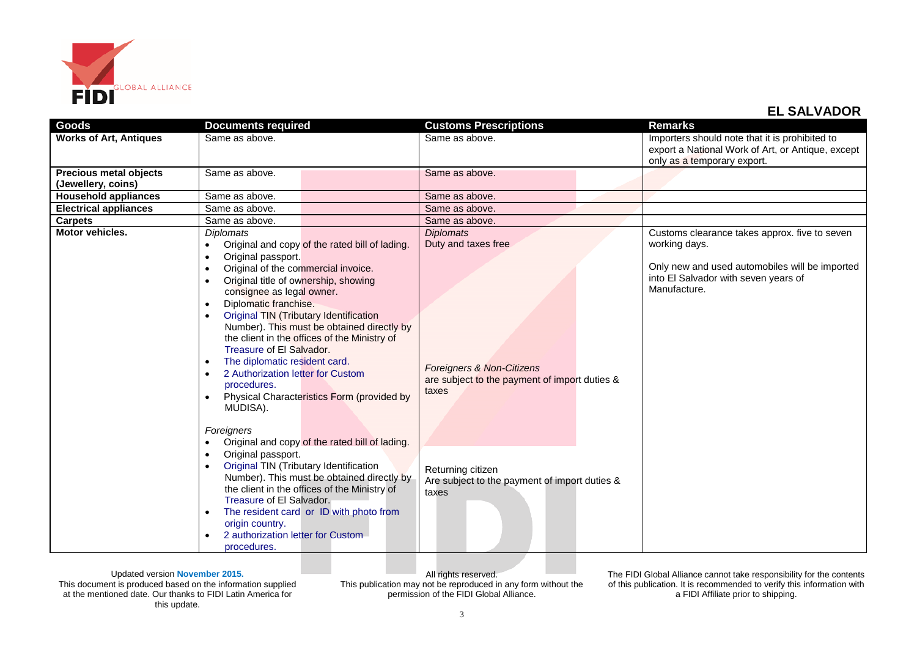

| Goods                                               | <b>Documents required</b>                                                                                                                                                                                                                                                                                                                                                                                                                                                                                                                                                                                                             | <b>Customs Prescriptions</b>                                                                                                              | <b>Remarks</b>                                                                                                                                                           |
|-----------------------------------------------------|---------------------------------------------------------------------------------------------------------------------------------------------------------------------------------------------------------------------------------------------------------------------------------------------------------------------------------------------------------------------------------------------------------------------------------------------------------------------------------------------------------------------------------------------------------------------------------------------------------------------------------------|-------------------------------------------------------------------------------------------------------------------------------------------|--------------------------------------------------------------------------------------------------------------------------------------------------------------------------|
| <b>Works of Art, Antiques</b>                       | Same as above.                                                                                                                                                                                                                                                                                                                                                                                                                                                                                                                                                                                                                        | Same as above.                                                                                                                            | Importers should note that it is prohibited to<br>export a National Work of Art, or Antique, except<br>only as a temporary export.                                       |
| <b>Precious metal objects</b><br>(Jewellery, coins) | Same as above.                                                                                                                                                                                                                                                                                                                                                                                                                                                                                                                                                                                                                        | Same as above.                                                                                                                            |                                                                                                                                                                          |
| <b>Household appliances</b>                         | Same as above.                                                                                                                                                                                                                                                                                                                                                                                                                                                                                                                                                                                                                        | Same as above.                                                                                                                            |                                                                                                                                                                          |
| <b>Electrical appliances</b>                        | Same as above.                                                                                                                                                                                                                                                                                                                                                                                                                                                                                                                                                                                                                        | Same as above.                                                                                                                            |                                                                                                                                                                          |
| <b>Carpets</b>                                      | Same as above.                                                                                                                                                                                                                                                                                                                                                                                                                                                                                                                                                                                                                        | Same as above.                                                                                                                            |                                                                                                                                                                          |
| <b>Motor vehicles.</b>                              | <b>Diplomats</b><br>Original and copy of the rated bill of lading.<br>$\bullet$<br>Original passport.<br>$\bullet$<br>Original of the commercial invoice.<br>$\bullet$<br>Original title of ownership, showing<br>$\bullet$<br>consignee as legal owner.<br>Diplomatic franchise.<br><b>Original TIN (Tributary Identification</b><br>Number). This must be obtained directly by<br>the client in the offices of the Ministry of<br>Treasure of El Salvador.<br>The diplomatic resident card.<br>$\bullet$<br>2 Authorization letter for Custom<br>$\bullet$<br>procedures.<br>Physical Characteristics Form (provided by<br>MUDISA). | <b>Diplomats</b><br>Duty and taxes free<br><b>Foreigners &amp; Non-Citizens</b><br>are subject to the payment of import duties &<br>taxes | Customs clearance takes approx. five to seven<br>working days.<br>Only new and used automobiles will be imported<br>into El Salvador with seven years of<br>Manufacture. |
|                                                     | Foreigners<br>Original and copy of the rated bill of lading.<br>Original passport.<br>$\bullet$<br>Original TIN (Tributary Identification<br>$\bullet$<br>Number). This must be obtained directly by<br>the client in the offices of the Ministry of<br>Treasure of El Salvador.<br>The resident card or ID with photo from<br>$\bullet$<br>origin country.<br>2 authorization letter for Custom<br>procedures.                                                                                                                                                                                                                       | Returning citizen<br>Are subject to the payment of import duties &<br>taxes                                                               |                                                                                                                                                                          |

Updated version **November 2015.** This document is produced based on the information supplied at the mentioned date. Our thanks to FIDI Latin America for this update.

All rights reserved. This publication may not be reproduced in any form without the permission of the FIDI Global Alliance.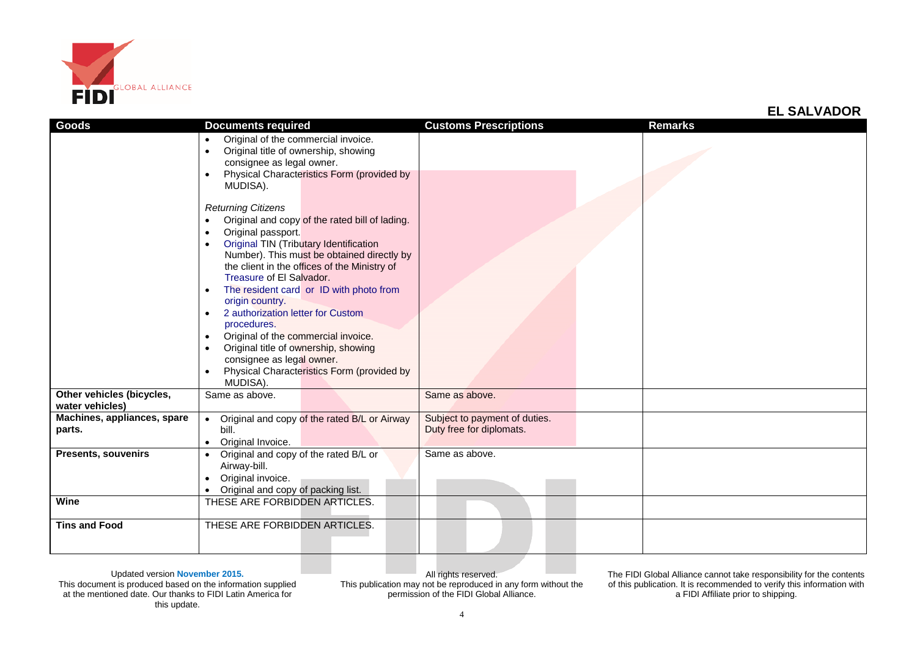

| Goods                       | <b>Documents required</b>                                                                                | <b>Customs Prescriptions</b>  | <b>Remarks</b> |
|-----------------------------|----------------------------------------------------------------------------------------------------------|-------------------------------|----------------|
|                             | Original of the commercial invoice.<br>$\bullet$                                                         |                               |                |
|                             | Original title of ownership, showing<br>$\bullet$                                                        |                               |                |
|                             | consignee as legal owner.                                                                                |                               |                |
|                             | Physical Characteristics Form (provided by<br>$\bullet$                                                  |                               |                |
|                             | MUDISA).                                                                                                 |                               |                |
|                             |                                                                                                          |                               |                |
|                             | <b>Returning Citizens</b>                                                                                |                               |                |
|                             | Original and copy of the rated bill of lading.<br>$\bullet$                                              |                               |                |
|                             | Original passport.<br>$\bullet$                                                                          |                               |                |
|                             | <b>Original TIN (Tributary Identification</b><br>$\bullet$<br>Number). This must be obtained directly by |                               |                |
|                             | the client in the offices of the Ministry of                                                             |                               |                |
|                             | Treasure of El Salvador.                                                                                 |                               |                |
|                             | The resident card or ID with photo from                                                                  |                               |                |
|                             | origin country.                                                                                          |                               |                |
|                             | 2 authorization letter for Custom                                                                        |                               |                |
|                             | procedures.                                                                                              |                               |                |
|                             | Original of the commercial invoice.<br>$\bullet$                                                         |                               |                |
|                             | Original title of ownership, showing<br>$\bullet$                                                        |                               |                |
|                             | consignee as legal owner.                                                                                |                               |                |
|                             | Physical Characteristics Form (provided by                                                               |                               |                |
|                             | MUDISA).                                                                                                 |                               |                |
| Other vehicles (bicycles,   | Same as above.                                                                                           | Same as above.                |                |
| water vehicles)             |                                                                                                          |                               |                |
| Machines, appliances, spare | Original and copy of the rated B/L or Airway<br>$\bullet$                                                | Subject to payment of duties. |                |
| parts.                      | bill.                                                                                                    | Duty free for diplomats.      |                |
| <b>Presents, souvenirs</b>  | Original Invoice.                                                                                        | Same as above.                |                |
|                             | Original and copy of the rated B/L or<br>Airway-bill.                                                    |                               |                |
|                             | Original invoice.                                                                                        |                               |                |
|                             | Original and copy of packing list.<br>$\bullet$                                                          |                               |                |
| Wine                        | THESE ARE FORBIDDEN ARTICLES.                                                                            |                               |                |
|                             |                                                                                                          |                               |                |
| <b>Tins and Food</b>        | THESE ARE FORBIDDEN ARTICLES.                                                                            |                               |                |
|                             |                                                                                                          |                               |                |
|                             |                                                                                                          |                               |                |

All rights reserved. This publication may not be reproduced in any form without the permission of the FIDI Global Alliance.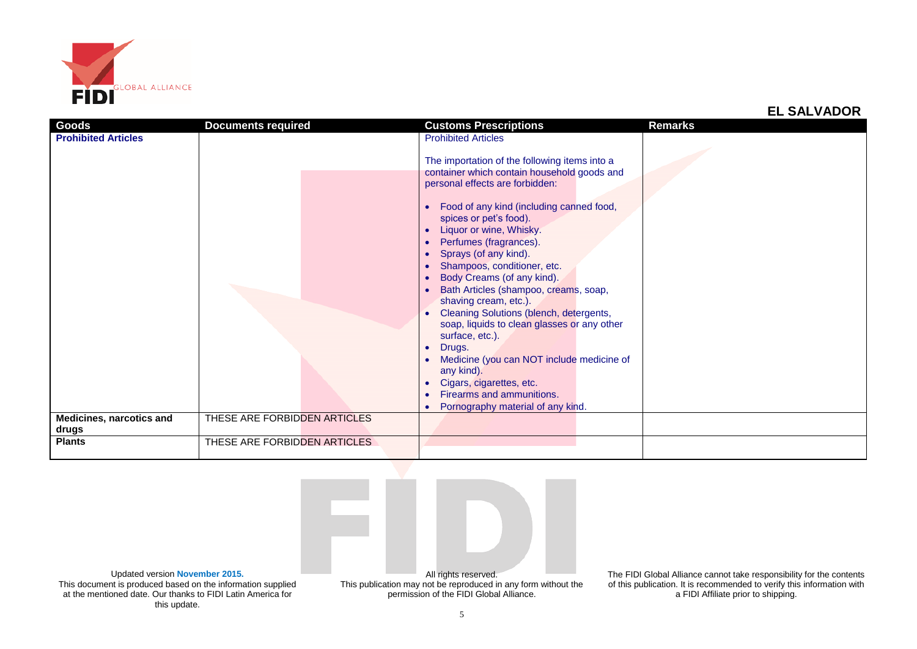

| Goods                             | <b>Documents required</b>    | <b>Customs Prescriptions</b>                                                                                                                                                                                                                                                                                                                                                                                                                                                                                                                                                                                    | Remarks |
|-----------------------------------|------------------------------|-----------------------------------------------------------------------------------------------------------------------------------------------------------------------------------------------------------------------------------------------------------------------------------------------------------------------------------------------------------------------------------------------------------------------------------------------------------------------------------------------------------------------------------------------------------------------------------------------------------------|---------|
| <b>Prohibited Articles</b>        |                              | <b>Prohibited Articles</b><br>The importation of the following items into a                                                                                                                                                                                                                                                                                                                                                                                                                                                                                                                                     |         |
|                                   |                              | container which contain household goods and                                                                                                                                                                                                                                                                                                                                                                                                                                                                                                                                                                     |         |
|                                   |                              | personal effects are forbidden:<br>Food of any kind (including canned food,<br>spices or pet's food).<br>Liquor or wine, Whisky.<br>Perfumes (fragrances).<br>Sprays (of any kind).<br>Shampoos, conditioner, etc.<br>Body Creams (of any kind).<br>Bath Articles (shampoo, creams, soap,<br>shaving cream, etc.).<br>Cleaning Solutions (blench, detergents,<br>soap, liquids to clean glasses or any other<br>surface, etc.).<br>Drugs.<br>$\bullet$<br>Medicine (you can NOT include medicine of<br>any kind).<br>Cigars, cigarettes, etc.<br>Firearms and ammunitions.<br>Pornography material of any kind. |         |
| Medicines, narcotics and<br>drugs | THESE ARE FORBIDDEN ARTICLES |                                                                                                                                                                                                                                                                                                                                                                                                                                                                                                                                                                                                                 |         |
| <b>Plants</b>                     | THESE ARE FORBIDDEN ARTICLES |                                                                                                                                                                                                                                                                                                                                                                                                                                                                                                                                                                                                                 |         |



Updated version **November 2015.** This document is produced based on the information supplied at the mentioned date. Our thanks to FIDI Latin America for this update.

permission of the FIDI Global Alliance.